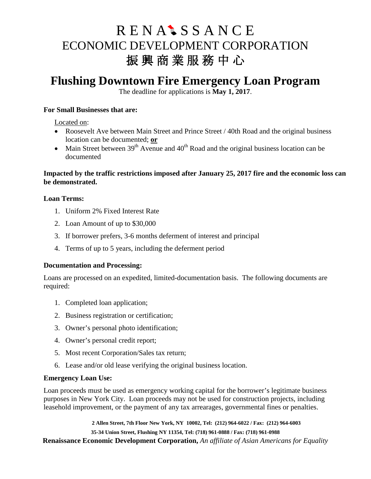# R E N A<sup>t</sup> S S A N C E ECONOMIC DEVELOPMENT CORPORATION 振興商業服務中心

# **Flushing Downtown Fire Emergency Loan Program**

The deadline for applications is **May 1, 2017**.

#### **For Small Businesses that are:**

Located on:

- Roosevelt Ave between Main Street and Prince Street / 40th Road and the original business location can be documented; **or**
- Main Street between  $39<sup>th</sup>$  Avenue and  $40<sup>th</sup>$  Road and the original business location can be documented

#### **Impacted by the traffic restrictions imposed after January 25, 2017 fire and the economic loss can be demonstrated.**

### **Loan Terms:**

- 1. Uniform 2% Fixed Interest Rate
- 2. Loan Amount of up to \$30,000
- 3. If borrower prefers, 3-6 months deferment of interest and principal
- 4. Terms of up to 5 years, including the deferment period

### **Documentation and Processing:**

Loans are processed on an expedited, limited-documentation basis. The following documents are required:

- 1. Completed loan application;
- 2. Business registration or certification;
- 3. Owner's personal photo identification;
- 4. Owner's personal credit report;
- 5. Most recent Corporation/Sales tax return;
- 6. Lease and/or old lease verifying the original business location.

### **Emergency Loan Use:**

Loan proceeds must be used as emergency working capital for the borrower's legitimate business purposes in New York City. Loan proceeds may not be used for construction projects, including leasehold improvement, or the payment of any tax arrearages, governmental fines or penalties.

**Renaissance Economic Development Corporation,** *An affiliate of Asian Americans for Equality* **2 Allen Street, 7th Floor New York, NY 10002, Tel: (212) 964-6022 / Fax: (212) 964-6003 35-34 Union Street, Flushing NY 11354, Tel: (718) 961-0888 / Fax: (718) 961-0988**